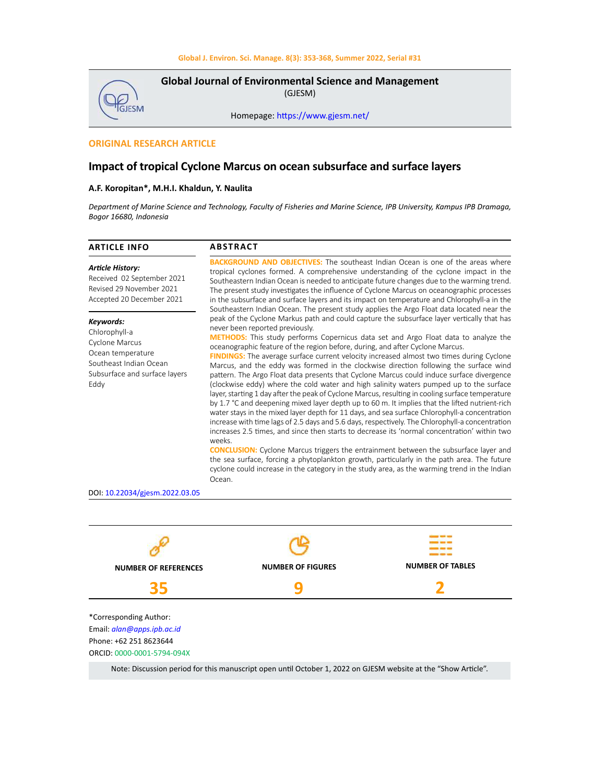

**Global Journal of Environmental Science and Management**  (GJESM)

Homepage: [https://www.gjesm.net/](https://www.gjesm.net/ )

# **ORIGINAL RESEARCH ARTICLE**

# **Impact of tropical Cyclone Marcus on ocean subsurface and surface layers**

### **A.F. Koropitan\*, M.H.I. Khaldun, Y. Naulita**

*Department of Marine Science and Technology, Faculty of Fisheries and Marine Science, IPB University, Kampus IPB Dramaga, Bogor 16680, Indonesia*

| <b>ARTICLE INFO</b>                                                                                                                  | <b>ABSTRACT</b>                                                                                                                                                                                                                                                                                                                                                                                                                                                                                                                                                                                                                                                                                                                                                                                                                                                                                                                                                                                                                                                                                                                                                                                                                                                                                                                                                                                                                                                                                                             |  |  |  |
|--------------------------------------------------------------------------------------------------------------------------------------|-----------------------------------------------------------------------------------------------------------------------------------------------------------------------------------------------------------------------------------------------------------------------------------------------------------------------------------------------------------------------------------------------------------------------------------------------------------------------------------------------------------------------------------------------------------------------------------------------------------------------------------------------------------------------------------------------------------------------------------------------------------------------------------------------------------------------------------------------------------------------------------------------------------------------------------------------------------------------------------------------------------------------------------------------------------------------------------------------------------------------------------------------------------------------------------------------------------------------------------------------------------------------------------------------------------------------------------------------------------------------------------------------------------------------------------------------------------------------------------------------------------------------------|--|--|--|
| <b>Article History:</b><br>Received 02 September 2021<br>Revised 29 November 2021<br>Accepted 20 December 2021                       | <b>BACKGROUND AND OBJECTIVES:</b> The southeast Indian Ocean is one of the areas where<br>tropical cyclones formed. A comprehensive understanding of the cyclone impact in the<br>Southeastern Indian Ocean is needed to anticipate future changes due to the warming trend.<br>The present study investigates the influence of Cyclone Marcus on oceanographic processes<br>in the subsurface and surface layers and its impact on temperature and Chlorophyll-a in the<br>Southeastern Indian Ocean. The present study applies the Argo Float data located near the                                                                                                                                                                                                                                                                                                                                                                                                                                                                                                                                                                                                                                                                                                                                                                                                                                                                                                                                                       |  |  |  |
| Keywords:<br>Chlorophyll-a<br>Cyclone Marcus<br>Ocean temperature<br>Southeast Indian Ocean<br>Subsurface and surface layers<br>Eddy | peak of the Cyclone Markus path and could capture the subsurface layer vertically that has<br>never been reported previously.<br><b>METHODS:</b> This study performs Copernicus data set and Argo Float data to analyze the<br>oceanographic feature of the region before, during, and after Cyclone Marcus.<br><b>FINDINGS:</b> The average surface current velocity increased almost two times during Cyclone<br>Marcus, and the eddy was formed in the clockwise direction following the surface wind<br>pattern. The Argo Float data presents that Cyclone Marcus could induce surface divergence<br>(clockwise eddy) where the cold water and high salinity waters pumped up to the surface<br>layer, starting 1 day after the peak of Cyclone Marcus, resulting in cooling surface temperature<br>by 1.7 °C and deepening mixed layer depth up to 60 m. It implies that the lifted nutrient-rich<br>water stays in the mixed layer depth for 11 days, and sea surface Chlorophyll-a concentration<br>increase with time lags of 2.5 days and 5.6 days, respectively. The Chlorophyll-a concentration<br>increases 2.5 times, and since then starts to decrease its 'normal concentration' within two<br>weeks.<br><b>CONCLUSION:</b> Cyclone Marcus triggers the entrainment between the subsurface layer and<br>the sea surface, forcing a phytoplankton growth, particularly in the path area. The future<br>cyclone could increase in the category in the study area, as the warming trend in the Indian<br>Ocean. |  |  |  |
| DOI: 10.22034/gjesm.2022.03.05                                                                                                       |                                                                                                                                                                                                                                                                                                                                                                                                                                                                                                                                                                                                                                                                                                                                                                                                                                                                                                                                                                                                                                                                                                                                                                                                                                                                                                                                                                                                                                                                                                                             |  |  |  |



Note: Discussion period for this manuscript open until October 1, 2022 on GJESM website at the "Show Article".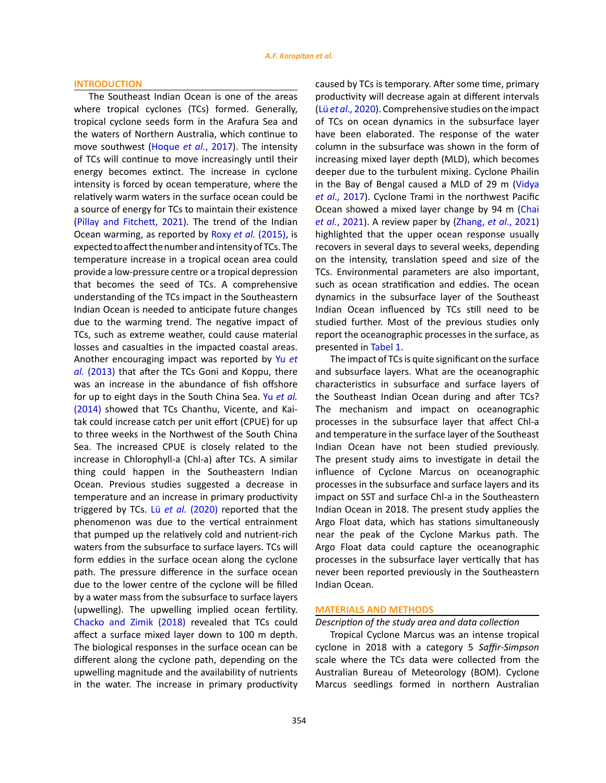#### **INTRODUCTION**

The Southeast Indian Ocean is one of the areas where tropical cyclones (TCs) formed. Generally, tropical cyclone seeds form in the Arafura Sea and the waters of Northern Australia, which continue to move southwest (Hoque *et al.*, 2017). The intensity of TCs will continue to move increasingly until their energy becomes extinct. The increase in cyclone intensity is forced by ocean temperature, where the relatively warm waters in the surface ocean could be a source of energy for TCs to maintain their existence (Pillay and Fitchett, 2021). The trend of the Indian Ocean warming, as reported by Roxy *et al.* (2015), is expected to affect the number and intensity of TCs. The temperature increase in a tropical ocean area could provide a low-pressure centre or a tropical depression that becomes the seed of TCs. A comprehensive understanding of the TCs impact in the Southeastern Indian Ocean is needed to anticipate future changes due to the warming trend. The negative impact of TCs, such as extreme weather, could cause material losses and casualties in the impacted coastal areas. Another encouraging impact was reported by Yu *et al.* (2013) that after the TCs Goni and Koppu, there was an increase in the abundance of fish offshore for up to eight days in the South China Sea. Yu *et al.* (2014) showed that TCs Chanthu, Vicente, and Kaitak could increase catch per unit effort (CPUE) for up to three weeks in the Northwest of the South China Sea. The increased CPUE is closely related to the increase in Chlorophyll-a (Chl-a) after TCs. A similar thing could happen in the Southeastern Indian Ocean. Previous studies suggested a decrease in temperature and an increase in primary productivity triggered by TCs. Lü *et al.* (2020) reported that the phenomenon was due to the vertical entrainment that pumped up the relatively cold and nutrient-rich waters from the subsurface to surface layers. TCs will form eddies in the surface ocean along the cyclone path. The pressure difference in the surface ocean due to the lower centre of the cyclone will be filled by a water mass from the subsurface to surface layers (upwelling). The upwelling implied ocean fertility. Chacko and Zimik (2018) revealed that TCs could affect a surface mixed layer down to 100 m depth. The biological responses in the surface ocean can be different along the cyclone path, depending on the upwelling magnitude and the availability of nutrients in the water. The increase in primary productivity

caused by TCs is temporary. After some time, primary productivity will decrease again at different intervals (Lü *et al.,* 2020). Comprehensive studies on the impact of TCs on ocean dynamics in the subsurface layer have been elaborated. The response of the water column in the subsurface was shown in the form of increasing mixed layer depth (MLD), which becomes deeper due to the turbulent mixing. Cyclone Phailin in the Bay of Bengal caused a MLD of 29 m (Vidya *et al.,* 2017). Cyclone Trami in the northwest Pacific Ocean showed a mixed layer change by 94 m (Chai *et al.*, 2021). A review paper by (Zhang, *et al*., 2021) highlighted that the upper ocean response usually recovers in several days to several weeks, depending on the intensity, translation speed and size of the TCs. Environmental parameters are also important, such as ocean stratification and eddies. The ocean dynamics in the subsurface layer of the Southeast Indian Ocean influenced by TCs still need to be studied further. Most of the previous studies only report the oceanographic processes in the surface, as presented in Tabel 1.

The impact of TCs is quite significant on the surface and subsurface layers. What are the oceanographic characteristics in subsurface and surface layers of the Southeast Indian Ocean during and after TCs? The mechanism and impact on oceanographic processes in the subsurface layer that affect Chl-a and temperature in the surface layer of the Southeast Indian Ocean have not been studied previously. The present study aims to investigate in detail the influence of Cyclone Marcus on oceanographic processes in the subsurface and surface layers and its impact on SST and surface Chl-a in the Southeastern Indian Ocean in 2018. The present study applies the Argo Float data, which has stations simultaneously near the peak of the Cyclone Markus path. The Argo Float data could capture the oceanographic processes in the subsurface layer vertically that has never been reported previously in the Southeastern Indian Ocean.

### **MATERIALS AND METHODS**

### *Description of the study area and data collection*

Tropical Cyclone Marcus was an intense tropical cyclone in 2018 with a category 5 *Saffir-Simpson* scale where the TCs data were collected from the Australian Bureau of Meteorology (BOM). Cyclone Marcus seedlings formed in northern Australian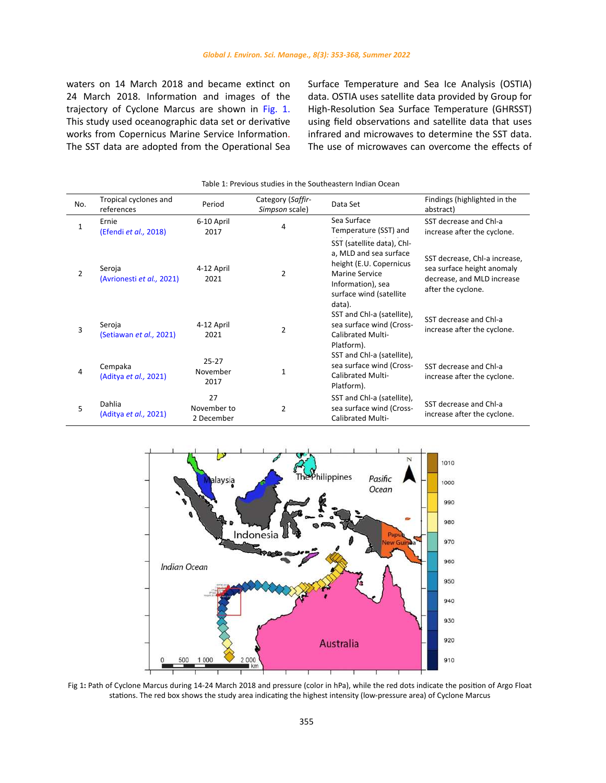waters on 14 March 2018 and became extinct on 24 March 2018. Information and images of the trajectory of Cyclone Marcus are shown in Fig. 1. This study used oceanographic data set or derivative works from Copernicus Marine Service Information. The SST data are adopted from the Operational Sea Surface Temperature and Sea Ice Analysis (OSTIA) data. OSTIA uses satellite data provided by Group for High-Resolution Sea Surface Temperature (GHRSST) using field observations and satellite data that uses infrared and microwaves to determine the SST data. The use of microwaves can overcome the effects of

| No.            | Tropical cyclones and<br>references    | Period                          | Category (Saffir-<br>Simpson scale) | Data Set                                                                                                                                                           | Findings (highlighted in the<br>abstract)                                                                       |
|----------------|----------------------------------------|---------------------------------|-------------------------------------|--------------------------------------------------------------------------------------------------------------------------------------------------------------------|-----------------------------------------------------------------------------------------------------------------|
| 1              | Ernie<br>(Efendi et al., 2018)         | 6-10 April<br>2017              | 4                                   | Sea Surface<br>Temperature (SST) and                                                                                                                               | SST decrease and Chl-a<br>increase after the cyclone.                                                           |
| $\overline{2}$ | Seroja<br>(Avrionesti et al., 2021)    | 4-12 April<br>2021              | $\overline{2}$                      | SST (satellite data), Chl-<br>a, MLD and sea surface<br>height (E.U. Copernicus<br><b>Marine Service</b><br>Information), sea<br>surface wind (satellite<br>data). | SST decrease, Chl-a increase,<br>sea surface height anomaly<br>decrease, and MLD increase<br>after the cyclone. |
| 3              | Seroja<br>(Setiawan et al., 2021)      | 4-12 April<br>2021              | $\overline{2}$                      | SST and Chl-a (satellite),<br>sea surface wind (Cross-<br><b>Calibrated Multi-</b><br>Platform).                                                                   | SST decrease and Chl-a<br>increase after the cyclone.                                                           |
| 4              | Cempaka<br>(Aditya et al., 2021)       | $25 - 27$<br>November<br>2017   | $\mathbf{1}$                        | SST and Chl-a (satellite),<br>sea surface wind (Cross-<br><b>Calibrated Multi-</b><br>Platform).                                                                   | SST decrease and Chl-a<br>increase after the cyclone.                                                           |
| 5              | Dahlia<br>(Aditya <i>et al.,</i> 2021) | 27<br>November to<br>2 December | $\overline{2}$                      | SST and Chl-a (satellite),<br>sea surface wind (Cross-<br><b>Calibrated Multi-</b>                                                                                 | SST decrease and Chl-a<br>increase after the cyclone.                                                           |





stations. The red box shows the study area indicating the highest intensity (low-pressure area) of Cyclone Marcus Fig 1**:** Path of Cyclone Marcus during 14-24 March 2018 and pressure (color in hPa), while the red dots indicate the position of Argo Float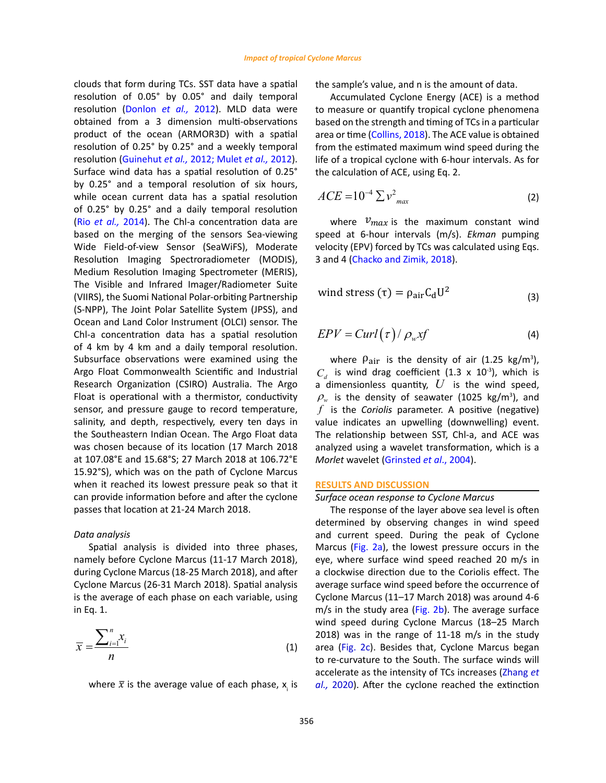clouds that form during TCs. SST data have a spatial resolution of 0.05° by 0.05° and daily temporal resolution (Donlon *et al.,* 2012). MLD data were obtained from a 3 dimension multi-observations product of the ocean (ARMOR3D) with a spatial resolution of 0.25° by 0.25° and a weekly temporal resolution (Guinehut *et al.,* 2012; Mulet *et al.,* 2012). Surface wind data has a spatial resolution of 0.25° by 0.25° and a temporal resolution of six hours, while ocean current data has a spatial resolution of 0.25° by 0.25° and a daily temporal resolution (Rio *et al.,* 2014). The Chl-a concentration data are based on the merging of the sensors Sea-viewing Wide Field-of-view Sensor (SeaWiFS), Moderate Resolution Imaging Spectroradiometer (MODIS), Medium Resolution Imaging Spectrometer (MERIS), The Visible and Infrared Imager/Radiometer Suite (VIIRS), the Suomi National Polar-orbiting Partnership (S-NPP), The Joint Polar Satellite System (JPSS), and Ocean and Land Color Instrument (OLCI) sensor. The Chl-a concentration data has a spatial resolution of 4 km by 4 km and a daily temporal resolution. Subsurface observations were examined using the Argo Float Commonwealth Scientific and Industrial Research Organization (CSIRO) Australia. The Argo Float is operational with a thermistor, conductivity sensor, and pressure gauge to record temperature, salinity, and depth, respectively, every ten days in the Southeastern Indian Ocean. The Argo Float data was chosen because of its location (17 March 2018 at 107.08°E and 15.68°S; 27 March 2018 at 106.72°E 15.92°S), which was on the path of Cyclone Marcus when it reached its lowest pressure peak so that it can provide information before and after the cyclone passes that location at 21-24 March 2018.

### *Data analysis*

Spatial analysis is divided into three phases, namely before Cyclone Marcus (11-17 March 2018), during Cyclone Marcus (18-25 March 2018), and after Cyclone Marcus (26-31 March 2018). Spatial analysis is the average of each phase on each variable, using in Eq. 1.

$$
\overline{x} = \frac{\sum_{i=1}^{n} x_i}{n}
$$
 (1)

where  $\bar{x}$  is the average value of each phase,  $x_{i}$  is

the sample's value, and n is the amount of data. sample's value, and n is the amount of data.

Accumulated Cyclone Energy (ACE) is a method Accumulated Cyclone Energy (ACE) is a memod<br>to measure or quantify tropical cyclone phenomena<br>heard on the strength ord timing of TC is a nextially to measure or quantify tropical cyclone phenomena<br>based on the strength and timing of TCs in a particular area or time (Collins, 2018). The ACE value is obtained<br>from the estimated maximum wind speed during the from the estimated maximum wind speed during the life of a tropical cyclone with 6-hour intervals. As for the calculation of ACE, using Eq. 2. the calculation of ACE, using Eq. 2. Form the estimated maximum wind speed during the  $\epsilon$  $\sim$  estimated maximum wind speed during the life of a tropical cyclone with 6-hours  $\sim$ of a tropical cyclone with 6-hour intervals. As for  $b$ alculation of ACE, using Eq. 2.

$$
ACE = 10^{-4} \sum v_{max}^2
$$
 (2)

where  $v_{max}$  is the maximum constant wind speed at 6-hour intervals (m/s). *Ekman* pumping 3 and 4 (Chacko and Zimik, 2018). velocity (EPV) forced by TCs was calculated using Eqs.<br>3 and 4 (Chacke and Zimik, 2018).

$$
wind stress (\tau) = \rho_{air} C_d U^2 \tag{3}
$$

$$
EPV = Curl(\tau) / \rho_w xf
$$
 (4)

where  $\rho_{\text{air}}$  is the density of air (1.25 kg/m<sup>3</sup>),  $C_d$  is wind drag coefficient (1.3 x 10<sup>-3</sup>), which is a dimensionless quantity,  $U$  is the wind speed,  $\sim$  3) where  $\rho_{\text{air}}$  is the density of air (1.25 kg/m<sup>3</sup>),<br> $C = \frac{\mu_{\text{air}}}{\sigma_{\text{air}}}$  is wind drag coefficient (1.2 x 10<sup>-3</sup>), which is relationship between Superintership between Special university and  $\alpha$  is the while  $\alpha$  /m<sup>3</sup>) and is analyzed using a wavelet transformation, which is a wavelet the international in the density of convention, which is *f* is the *Coriolis* parameter **A** nositive value indicates an upwelling (downwelling) event.  $\rho_w$  is the density of seawater (1025 kg/m<sup>3</sup>), and *f* is the *Coriolis* parameter. A positive (negative) The relationship between SST, Chl-a, and ACE was analyzed using a wavelet transformation, which is a *Morlet* wavelet (Grinsted *et al*., 2004).

#### **RESULTS AND DISCUSSION**

### *Surface ocean response to Cyclone Marcus*

The response of the layer above sea level is often determined by observing changes in wind speed and current speed. During the peak of Cyclone Marcus (Fig. 2a), the lowest pressure occurs in the eye, where surface wind speed reached 20 m/s in a clockwise direction due to the Coriolis effect. The average surface wind speed before the occurrence of Cyclone Marcus (11–17 March 2018) was around 4-6  $m/s$  in the study area (Fig. 2b). The average surface wind speed during Cyclone Marcus (18–25 March 2018) was in the range of 11-18 m/s in the study area (Fig. 2c). Besides that, Cyclone Marcus began to re-curvature to the South. The surface winds will accelerate as the intensity of TCs increases (Zhang *et al.,* 2020). After the cyclone reached the extinction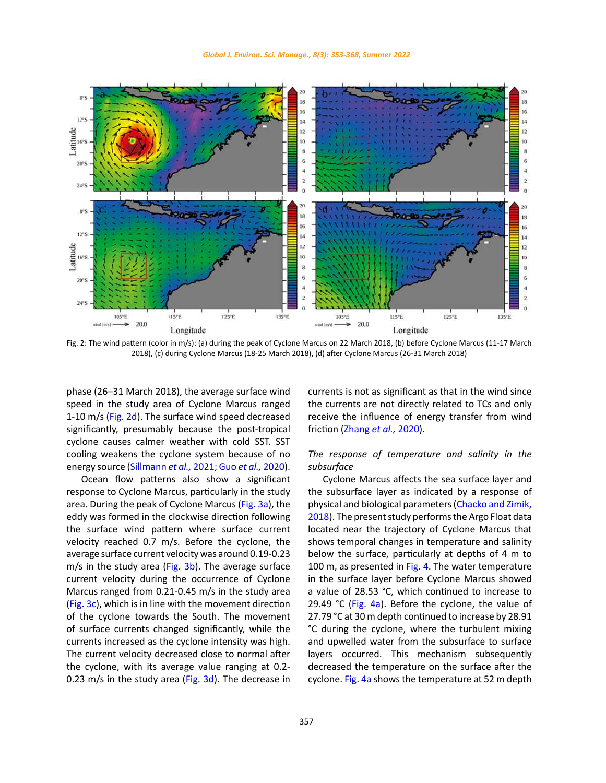

2018), (c) during Cyclone Marcus (18-25 March 2018), (d) after Cyclone Marcus (26-31 March 2018) Fig. 2: The wind pattern (color in m/s): (a) during the peak of Cyclone Marcus on 22 March 2018, (b) before Cyclone Marcus (11-17 March

phase (26–31 March 2018), the average surface wind speed in the study area of Cyclone Marcus ranged 1-10 m/s (Fig. 2d). The surface wind speed decreased significantly, presumably because the post-tropical cyclone causes calmer weather with cold SST. SST cooling weakens the cyclone system because of no energy source (Sillmann *et al.,* 2021; Guo *et al.,* 2020).

Ocean flow patterns also show a significant response to Cyclone Marcus, particularly in the study area. During the peak of Cyclone Marcus (Fig. 3a), the eddy was formed in the clockwise direction following the surface wind pattern where surface current velocity reached 0.7 m/s. Before the cyclone, the average surface current velocity was around 0.19-0.23 m/s in the study area (Fig. 3b). The average surface current velocity during the occurrence of Cyclone Marcus ranged from 0.21-0.45 m/s in the study area (Fig. 3c), which is in line with the movement direction of the cyclone towards the South. The movement of surface currents changed significantly, while the currents increased as the cyclone intensity was high. The current velocity decreased close to normal after the cyclone, with its average value ranging at 0.2- 0.23 m/s in the study area (Fig. 3d). The decrease in currents is not as significant as that in the wind since the currents are not directly related to TCs and only receive the influence of energy transfer from wind friction (Zhang *et al.,* 2020).

# *The response of temperature and salinity in the subsurface*

Cyclone Marcus affects the sea surface layer and the subsurface layer as indicated by a response of physical and biological parameters (Chacko and Zimik, 2018). The present study performs the Argo Float data located near the trajectory of Cyclone Marcus that shows temporal changes in temperature and salinity below the surface, particularly at depths of 4 m to 100 m, as presented in Fig. 4. The water temperature in the surface layer before Cyclone Marcus showed a value of 28.53 °C, which continued to increase to 29.49 °C (Fig. 4a). Before the cyclone, the value of 27.79 °C at 30 m depth continued to increase by 28.91 °C during the cyclone, where the turbulent mixing and upwelled water from the subsurface to surface layers occurred. This mechanism subsequently decreased the temperature on the surface after the cyclone. Fig. 4a shows the temperature at 52 m depth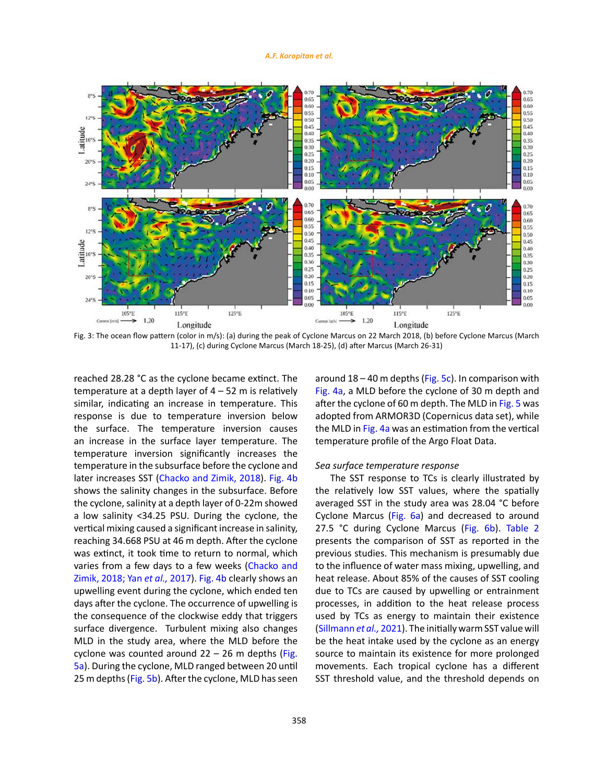#### *A.F. Koropitan et al.*



11-17), (c) during Cyclone Marcus (March 18-25), (d) after Marcus (March 26-31) Fig. 3: The ocean flow pattern (color in m/s): (a) during the peak of Cyclone Marcus on 22 March 2018, (b) before Cyclone Marcus (March

reached 28.28 °C as the cyclone became extinct. The temperature at a depth layer of  $4 - 52$  m is relatively similar, indicating an increase in temperature. This response is due to temperature inversion below the surface. The temperature inversion causes an increase in the surface layer temperature. The temperature inversion significantly increases the temperature in the subsurface before the cyclone and later increases SST (Chacko and Zimik, 2018). Fig. 4b shows the salinity changes in the subsurface. Before the cyclone, salinity at a depth layer of 0-22m showed a low salinity <34.25 PSU. During the cyclone, the vertical mixing caused a significant increase in salinity, reaching 34.668 PSU at 46 m depth. After the cyclone was extinct, it took time to return to normal, which varies from a few days to a few weeks (Chacko and Zimik, 2018; Yan *et al.,* 2017). Fig. 4b clearly shows an upwelling event during the cyclone, which ended ten days after the cyclone. The occurrence of upwelling is the consequence of the clockwise eddy that triggers surface divergence. Turbulent mixing also changes MLD in the study area, where the MLD before the cyclone was counted around  $22 - 26$  m depths (Fig. 5a). During the cyclone, MLD ranged between 20 until 25 m depths (Fig. 5b). After the cyclone, MLD has seen

around  $18 - 40$  m depths (Fig. 5c). In comparison with Fig. 4a, a MLD before the cyclone of 30 m depth and after the cyclone of 60 m depth. The MLD in Fig. 5 was adopted from ARMOR3D (Copernicus data set), while the MLD in Fig. 4a was an estimation from the vertical temperature profile of the Argo Float Data.

#### *Sea surface temperature response*

The SST response to TCs is clearly illustrated by the relatively low SST values, where the spatially averaged SST in the study area was 28.04 °C before Cyclone Marcus (Fig. 6a) and decreased to around 27.5 °C during Cyclone Marcus (Fig. 6b). Table 2 presents the comparison of SST as reported in the previous studies. This mechanism is presumably due to the influence of water mass mixing, upwelling, and heat release. About 85% of the causes of SST cooling due to TCs are caused by upwelling or entrainment processes, in addition to the heat release process used by TCs as energy to maintain their existence (Sillmann *et al.,* 2021). The initially warm SST value will be the heat intake used by the cyclone as an energy source to maintain its existence for more prolonged movements. Each tropical cyclone has a different SST threshold value, and the threshold depends on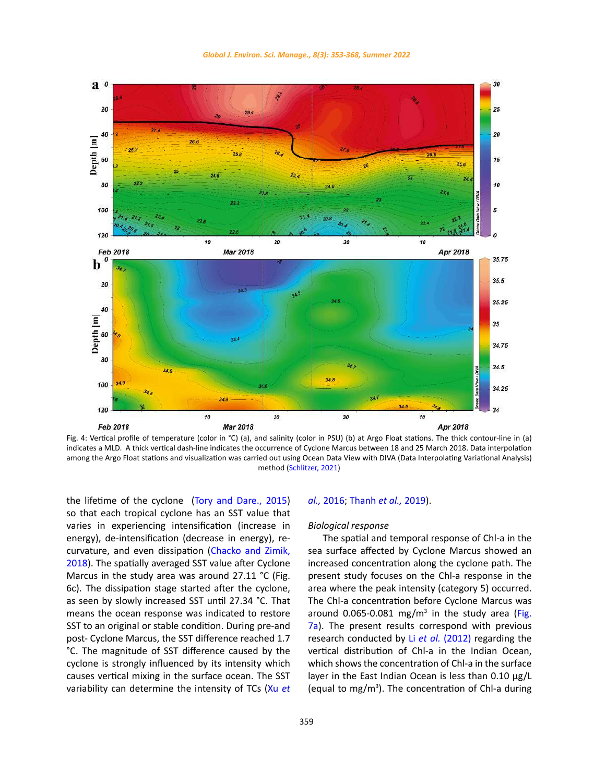

Fig. 4: Vertical profile of temperature (color in °C) (a), and salinity (color in PSU) (b) at Argo Float stations. The thick contour-line in (a) and takes a with. A thick vertical dash mile muitates the occurrence of Cyclone Marcus between 16 and 25 March 2016. Data interpolation<br>among the Argo Float stations and visualization was carried out using Ocean Data View 18 and 25 March 2018. Data interpretation and visualization was carried out using the Argo Float stations and visualization was carried out using the Argo Float station was carried out using the Argo Float station was carr indicates a MLD. A thick vertical dash-line indicates the occurrence of Cyclone Marcus between 18 and 25 March 2018. Data interpolation

the lifetime of the cyclone (Tory and Dare., 2015) so that each tropical cyclone has an SST value that varies in experiencing intensification (increase in energy), de-intensification (decrease in energy), recurvature, and even dissipation (Chacko and Zimik, 2018). The spatially averaged SST value after Cyclone Marcus in the study area was around 27.11 °C (Fig. 6c). The dissipation stage started after the cyclone, as seen by slowly increased SST until 27.34 °C. That means the ocean response was indicated to restore SST to an original or stable condition. During pre-and post- Cyclone Marcus, the SST difference reached 1.7 °C. The magnitude of SST difference caused by the cyclone is strongly influenced by its intensity which causes vertical mixing in the surface ocean. The SST variability can determine the intensity of TCs (Xu *et* 

### *al.,* 2016; Thanh *et al.,* 2019).

### *Biological response*

The spatial and temporal response of Chl-a in the sea surface affected by Cyclone Marcus showed an increased concentration along the cyclone path. The present study focuses on the Chl-a response in the area where the peak intensity (category 5) occurred. The Chl-a concentration before Cyclone Marcus was around 0.065-0.081 mg/ $m<sup>3</sup>$  in the study area (Fig. 7a). The present results correspond with previous research conducted by Li *et al.* (2012) regarding the vertical distribution of Chl-a in the Indian Ocean, which shows the concentration of Chl-a in the surface layer in the East Indian Ocean is less than 0.10 μg/L (equal to mg/ $m<sup>3</sup>$ ). The concentration of Chl-a during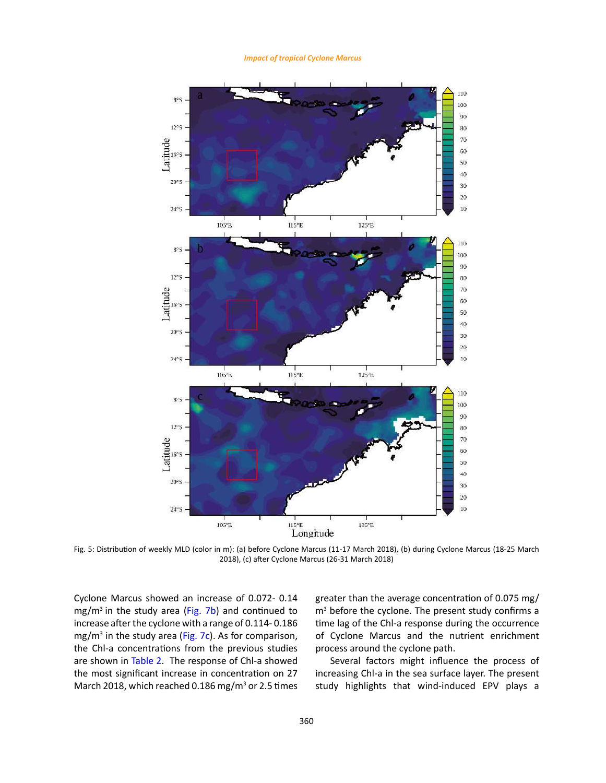*Impact of tropical Cyclone Marcus*



Fig. 5: Distribution of weekly MLD (color in m): (a) before Cyclone Marcus (11‐17 March 2018), (b) during Cyclone 2018), (c) after Cyclone Marcus (26-31 March 2018)Fig. 5: Distribution of weekly MLD (color in m): (a) before Cyclone Marcus (11-17 March 2018), (b) during Cyclone Marcus (18-25 March

Cyclone Marcus showed an increase of 0.072- 0.14 mg/ $m^3$  in the study area (Fig. 7b) and continued to increase after the cyclone with a range of 0.114- 0.186 mg/m<sup>3</sup> in the study area (Fig. 7c). As for comparison, the Chl-a concentrations from the previous studies are shown in Table 2. The response of Chl-a showed the most significant increase in concentration on 27 March 2018, which reached 0.186 mg/m<sup>3</sup> or 2.5 times

greater than the average concentration of 0.075 mg/ m3 before the cyclone. The present study confirms a time lag of the Chl-a response during the occurrence of Cyclone Marcus and the nutrient enrichment process around the cyclone path.

Several factors might influence the process of increasing Chl-a in the sea surface layer. The present study highlights that wind-induced EPV plays a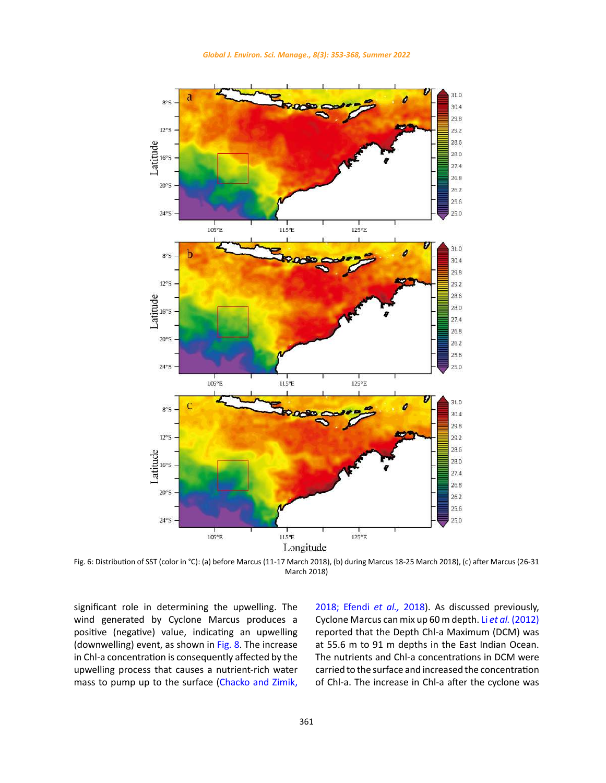

 $\text{March } 2018\text{)}$ Fig. 6: Distribution of SST (color in °C): (a) before Marcus (11-17 March 2018), (b) during Marcus 18-25 March 2018), (c) after Marcus (26-31 March 2018)

significant role in determining the upwelling. The wind generated by Cyclone Marcus produces a positive (negative) value, indicating an upwelling (downwelling) event, as shown in Fig. 8. The increase in Chl-a concentration is consequently affected by the upwelling process that causes a nutrient-rich water mass to pump up to the surface (Chacko and Zimik, <u> 1990 - Jan Barbara Barat, martin d</u>

2018; Efendi *et al.,* 2018). As discussed previously, Cyclone Marcus can mix up 60 m depth. Li *et al.* (2012) reported that the Depth Chl-a Maximum (DCM) was at 55.6 m to 91 m depths in the East Indian Ocean. The nutrients and Chl-a concentrations in DCM were carried to the surface and increased the concentration of Chl-a. The increase in Chl-a after the cyclone was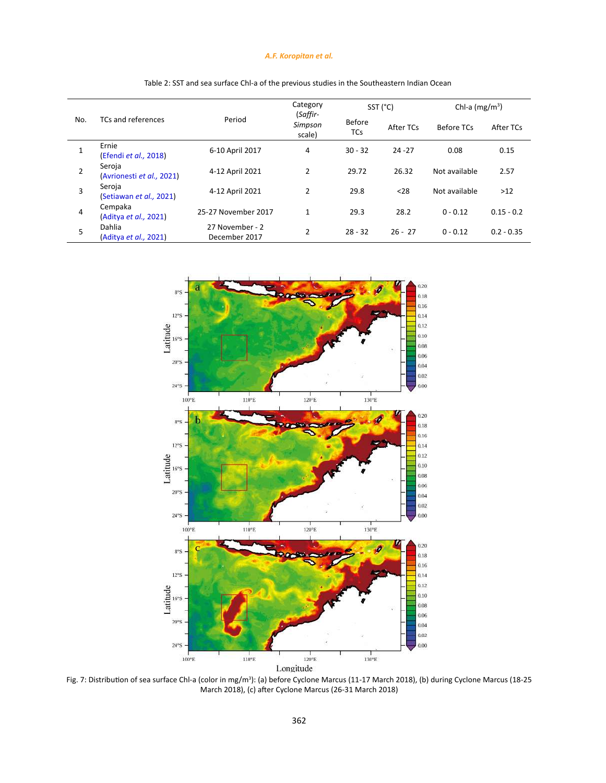## *A.F. Koropitan et al.*

| No.            | TCs and references                  | Period                           | Category<br>(Saffir-<br>Simpson<br>scale) | SST (°C)                    |           | Chl-a $(mg/m^3)$ |              |
|----------------|-------------------------------------|----------------------------------|-------------------------------------------|-----------------------------|-----------|------------------|--------------|
|                |                                     |                                  |                                           | <b>Before</b><br><b>TCs</b> | After TCs | Before TCs       | After TCs    |
| 1              | Ernie<br>(Efendi et al., 2018)      | 6-10 April 2017                  | 4                                         | $30 - 32$                   | $24 - 27$ | 0.08             | 0.15         |
| $\overline{2}$ | Seroja<br>(Avrionesti et al., 2021) | 4-12 April 2021                  | $\overline{2}$                            | 29.72                       | 26.32     | Not available    | 2.57         |
| 3              | Seroja<br>(Setiawan et al., 2021)   | 4-12 April 2021                  | $\overline{2}$                            | 29.8                        | $28$      | Not available    | >12          |
| 4              | Cempaka<br>(Aditya et al., 2021)    | 25-27 November 2017              | 1                                         | 29.3                        | 28.2      | $0 - 0.12$       | $0.15 - 0.2$ |
| 5              | Dahlia<br>(Aditya et al., 2021)     | 27 November - 2<br>December 2017 | $\overline{2}$                            | $28 - 32$                   | $26 - 27$ | $0 - 0.12$       | $0.2 - 0.35$ |



Longitude

Distribution of sea surface Chl-a (color in mg/m<sup>3</sup>): (a) before Cyclone Marcus (11-17 March 2018), (b) during Cyclone Marcus March 2018), (c) after Cyclone Marcus (26-31 March 2018) Fig. 7: Distribution of sea surface Chl-a (color in mg/m<sup>3</sup>): (a) before Cyclone Marcus (11-17 March 2018), (b) during Cyclone Marcus (18-25 March 2018), (c) after Cyclone Marcus (26-31 March 2018)

Table 2: SST and sea surface Chl‐a of the previous studies in the Southeastern Indian Ocean Table 2: SST and sea surface Chl-a of the previous studies in the Southeastern Indian Ocean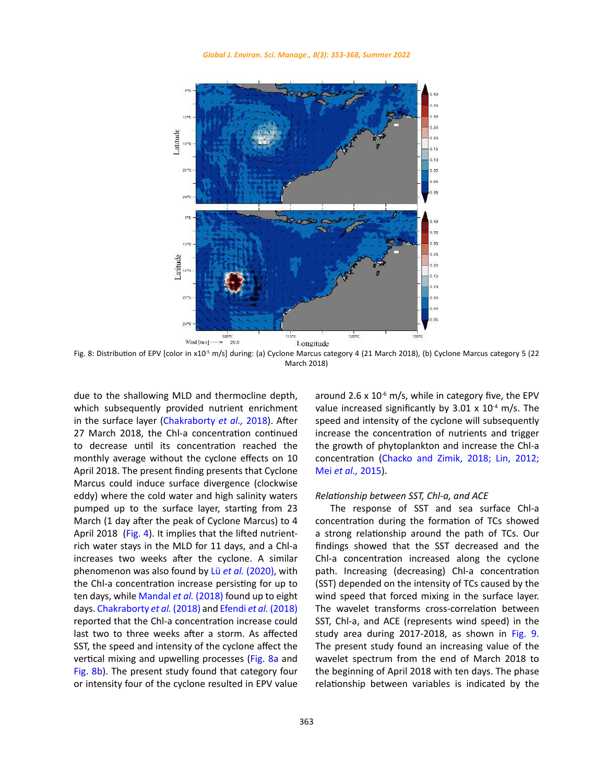

Fig. 8: Distribution of EPV  $(2018)$ Fig. 8: Distribution of EPV [color in x10<sup>-5</sup> m/s] during: (a) Cyclone Marcus category 4 (21 March 2018), (b) Cyclone Marcus category 5 (22 March 2018)

due to the shallowing MLD and thermocline depth, which subsequently provided nutrient enrichment in the surface layer (Chakraborty *et al.,* 2018). After 27 March 2018, the Chl-a concentration continued to decrease until its concentration reached the monthly average without the cyclone effects on 10 April 2018. The present finding presents that Cyclone Marcus could induce surface divergence (clockwise eddy) where the cold water and high salinity waters pumped up to the surface layer, starting from 23 March (1 day after the peak of Cyclone Marcus) to 4 April 2018 (Fig. 4). It implies that the lifted nutrientrich water stays in the MLD for 11 days, and a Chl-a increases two weeks after the cyclone. A similar phenomenon was also found by Lü *et al.* (2020), with the Chl-a concentration increase persisting for up to ten days, while Mandal *et al.* (2018) found up to eight days. Chakraborty *et al.* (2018) and Efendi *et al.* (2018) reported that the Chl-a concentration increase could last two to three weeks after a storm. As affected SST, the speed and intensity of the cyclone affect the vertical mixing and upwelling processes (Fig. 8a and Fig. 8b). The present study found that category four or intensity four of the cyclone resulted in EPV value

around 2.6 x  $10^{-6}$  m/s, while in category five, the EPV value increased significantly by  $3.01 \times 10^{-4}$  m/s. The speed and intensity of the cyclone will subsequently increase the concentration of nutrients and trigger the growth of phytoplankton and increase the Chl-a concentration (Chacko and Zimik, 2018; Lin, 2012; Mei *et al.,* 2015).

### *Relationship between SST, Chl-a, and ACE*

The response of SST and sea surface Chl-a concentration during the formation of TCs showed a strong relationship around the path of TCs. Our findings showed that the SST decreased and the Chl-a concentration increased along the cyclone path. Increasing (decreasing) Chl-a concentration (SST) depended on the intensity of TCs caused by the wind speed that forced mixing in the surface layer. The wavelet transforms cross-correlation between SST, Chl-a, and ACE (represents wind speed) in the study area during 2017-2018, as shown in Fig. 9. The present study found an increasing value of the wavelet spectrum from the end of March 2018 to the beginning of April 2018 with ten days. The phase relationship between variables is indicated by the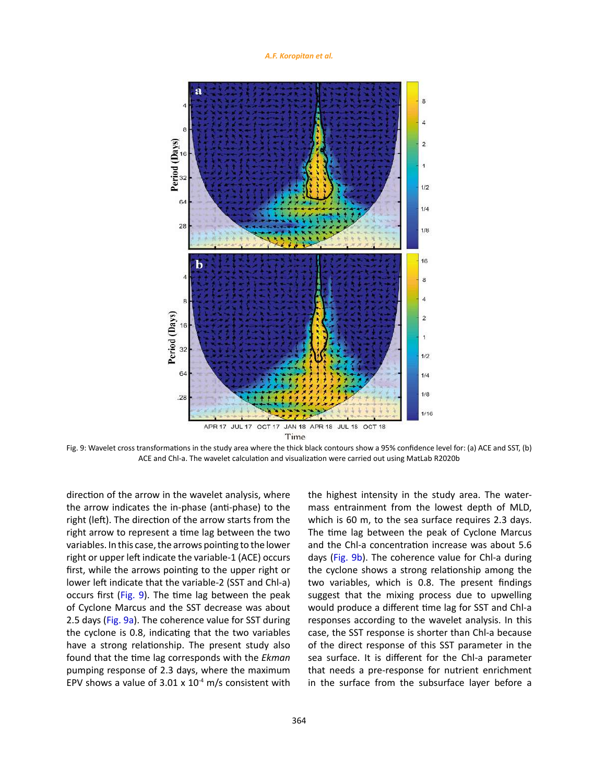

ACE and Chl-a. The wavelet calculation and visualization were carried out using MatLab R2020b Fig. 9: Wavelet cross transformations in the study area where the thick black contours show a 95% confidence level for: (a) ACE and SST, (b)

direction of the arrow in the wavelet analysis, where the arrow indicates the in-phase (anti-phase) to the right (left). The direction of the arrow starts from the right arrow to represent a time lag between the two variables. In this case, the arrows pointing to the lower right or upper left indicate the variable-1 (ACE) occurs first, while the arrows pointing to the upper right or lower left indicate that the variable-2 (SST and Chl-a) occurs first (Fig. 9). The time lag between the peak of Cyclone Marcus and the SST decrease was about 2.5 days (Fig. 9a). The coherence value for SST during the cyclone is 0.8, indicating that the two variables have a strong relationship. The present study also found that the time lag corresponds with the *Ekman* pumping response of 2.3 days, where the maximum EPV shows a value of  $3.01 \times 10^{-4}$  m/s consistent with the highest intensity in the study area. The watermass entrainment from the lowest depth of MLD, which is 60 m, to the sea surface requires 2.3 days. The time lag between the peak of Cyclone Marcus and the Chl-a concentration increase was about 5.6 days (Fig. 9b). The coherence value for Chl-a during the cyclone shows a strong relationship among the two variables, which is 0.8. The present findings suggest that the mixing process due to upwelling would produce a different time lag for SST and Chl-a responses according to the wavelet analysis. In this case, the SST response is shorter than Chl-a because of the direct response of this SST parameter in the sea surface. It is different for the Chl-a parameter that needs a pre-response for nutrient enrichment in the surface from the subsurface layer before a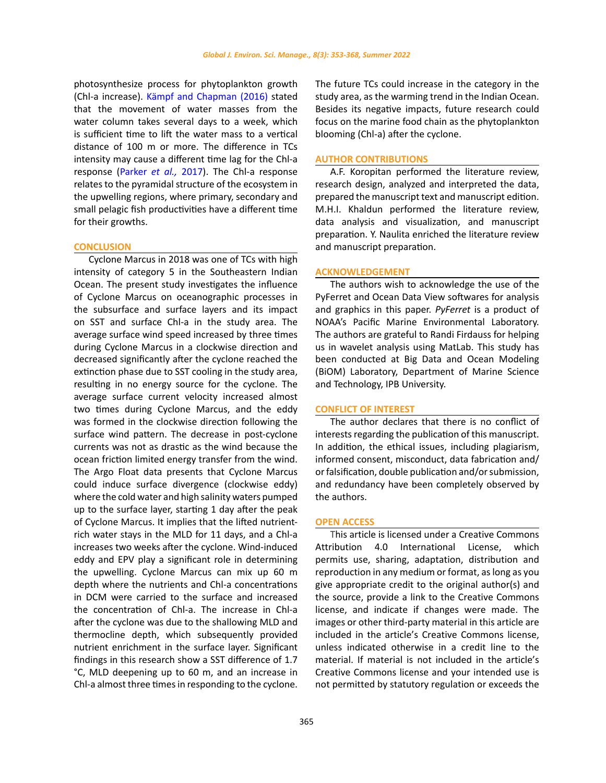photosynthesize process for phytoplankton growth (Chl-a increase). Kämpf and Chapman (2016) stated that the movement of water masses from the water column takes several days to a week, which is sufficient time to lift the water mass to a vertical distance of 100 m or more. The difference in TCs intensity may cause a different time lag for the Chl-a response (Parker *et al.,* 2017). The Chl-a response relates to the pyramidal structure of the ecosystem in the upwelling regions, where primary, secondary and small pelagic fish productivities have a different time for their growths.

### **CONCLUSION**

Cyclone Marcus in 2018 was one of TCs with high intensity of category 5 in the Southeastern Indian Ocean. The present study investigates the influence of Cyclone Marcus on oceanographic processes in the subsurface and surface layers and its impact on SST and surface Chl-a in the study area. The average surface wind speed increased by three times during Cyclone Marcus in a clockwise direction and decreased significantly after the cyclone reached the extinction phase due to SST cooling in the study area, resulting in no energy source for the cyclone. The average surface current velocity increased almost two times during Cyclone Marcus, and the eddy was formed in the clockwise direction following the surface wind pattern. The decrease in post-cyclone currents was not as drastic as the wind because the ocean friction limited energy transfer from the wind. The Argo Float data presents that Cyclone Marcus could induce surface divergence (clockwise eddy) where the cold water and high salinity waters pumped up to the surface layer, starting 1 day after the peak of Cyclone Marcus. It implies that the lifted nutrientrich water stays in the MLD for 11 days, and a Chl-a increases two weeks after the cyclone. Wind-induced eddy and EPV play a significant role in determining the upwelling. Cyclone Marcus can mix up 60 m depth where the nutrients and Chl-a concentrations in DCM were carried to the surface and increased the concentration of Chl-a. The increase in Chl-a after the cyclone was due to the shallowing MLD and thermocline depth, which subsequently provided nutrient enrichment in the surface layer. Significant findings in this research show a SST difference of 1.7 °C, MLD deepening up to 60 m, and an increase in Chl-a almost three times in responding to the cyclone.

The future TCs could increase in the category in the study area, as the warming trend in the Indian Ocean. Besides its negative impacts, future research could focus on the marine food chain as the phytoplankton blooming (Chl-a) after the cyclone.

### **AUTHOR CONTRIBUTIONS**

A.F. Koropitan performed the literature review, research design, analyzed and interpreted the data, prepared the manuscript text and manuscript edition. M.H.I. Khaldun performed the literature review, data analysis and visualization, and manuscript preparation. Y. Naulita enriched the literature review and manuscript preparation.

### **ACKNOWLEDGEMENT**

The authors wish to acknowledge the use of the PyFerret and Ocean Data View softwares for analysis and graphics in this paper. *PyFerret* is a product of NOAA's Pacific Marine Environmental Laboratory. The authors are grateful to Randi Firdauss for helping us in wavelet analysis using MatLab. This study has been conducted at Big Data and Ocean Modeling (BiOM) Laboratory, Department of Marine Science and Technology, IPB University.

### **CONFLICT OF INTEREST**

The author declares that there is no conflict of interests regarding the publication of this manuscript. In addition, the ethical issues, including plagiarism, informed consent, misconduct, data fabrication and/ or falsification, double publication and/or submission, and redundancy have been completely observed by the authors.

### **OPEN ACCESS**

This article is licensed under a Creative Commons Attribution 4.0 International License, which permits use, sharing, adaptation, distribution and reproduction in any medium or format, as long as you give appropriate credit to the original author(s) and the source, provide a link to the Creative Commons license, and indicate if changes were made. The images or other third-party material in this article are included in the article's Creative Commons license, unless indicated otherwise in a credit line to the material. If material is not included in the article's Creative Commons license and your intended use is not permitted by statutory regulation or exceeds the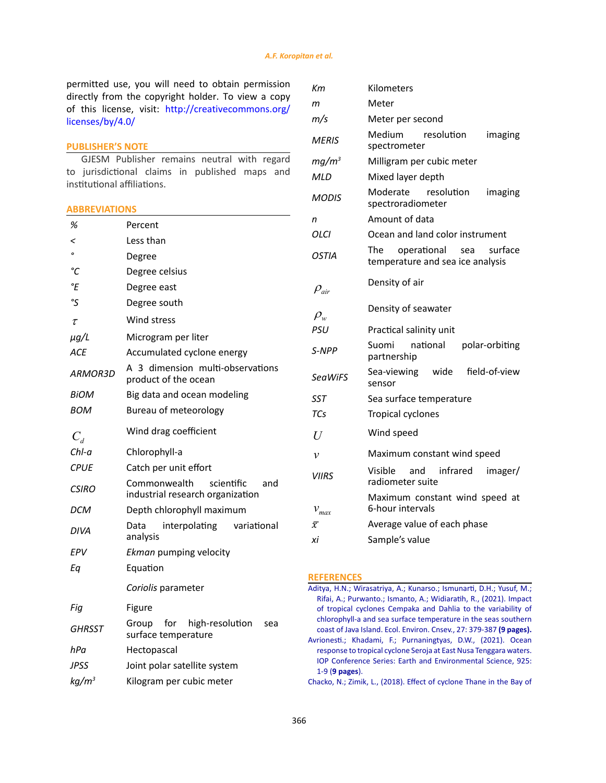permitted use, you will need to obtain permission directly from the copyright holder. To view a copy of this license, visit: [http://creativecommons.org/](http://creativecommons.org/licenses/by/4.0/) [licenses/by/4.0/](http://creativecommons.org/licenses/by/4.0/)

### **PUBLISHER'S NOTE**

GJESM Publisher remains neutral with regard to jurisdictional claims in published maps and institutional affiliations.

### **ABBREVIATIONS**

| %                          | Percent                                                               |  |  |
|----------------------------|-----------------------------------------------------------------------|--|--|
| <                          | Less than                                                             |  |  |
| $\mathbf{o}$               | Degree                                                                |  |  |
| °C                         | Degree celsius                                                        |  |  |
| °E                         | Degree east                                                           |  |  |
| °S                         | Degree south                                                          |  |  |
| $\tau$                     | Wind stress                                                           |  |  |
| $\mu$ g/L                  | Microgram per liter                                                   |  |  |
| <b>ACE</b>                 | Accumulated cyclone energy                                            |  |  |
| <b>ARMOR3D</b>             | A 3 dimension multi-observations<br>product of the ocean              |  |  |
| BiOM                       | Big data and ocean modeling                                           |  |  |
| <b>BOM</b>                 | Bureau of meteorology                                                 |  |  |
| $C_{\scriptscriptstyle d}$ | Wind drag coefficient                                                 |  |  |
| Chl-a                      | Chlorophyll-a                                                         |  |  |
| <b>CPUE</b>                | Catch per unit effort                                                 |  |  |
| CSIRO                      | Commonwealth<br>scientific<br>and<br>industrial research organization |  |  |
| <b>DCM</b>                 | Depth chlorophyll maximum                                             |  |  |
| DIVA                       | Data<br>interpolating<br>variational<br>analysis                      |  |  |
| EPV                        | Ekman pumping velocity                                                |  |  |
| Еq                         | Equation                                                              |  |  |
|                            | Coriolis parameter                                                    |  |  |
| Fiq                        | Figure                                                                |  |  |
| GHRSST                     | for<br>high-resolution<br>Group<br>sea<br>surface temperature         |  |  |
| hPa                        | Hectopascal                                                           |  |  |
| JPSS                       | Joint polar satellite system                                          |  |  |
| kg/m <sup>3</sup>          | Kilogram per cubic meter                                              |  |  |

| Кm                    | Kilometers                                                               |  |  |
|-----------------------|--------------------------------------------------------------------------|--|--|
| m                     | Meter                                                                    |  |  |
| m/s                   | Meter per second                                                         |  |  |
| MERIS                 | resolution<br>Medium<br>imaging<br>spectrometer                          |  |  |
| mg/m <sup>3</sup>     | Milligram per cubic meter                                                |  |  |
| MLD                   | Mixed layer depth                                                        |  |  |
| <b>MODIS</b>          | resolution<br>Moderate<br>imaging<br>spectroradiometer                   |  |  |
| n                     | Amount of data                                                           |  |  |
| OLCI                  | Ocean and land color instrument                                          |  |  |
| <b>OSTIA</b>          | operational<br>surface<br>The<br>sea<br>temperature and sea ice analysis |  |  |
| $\rho_{\textit{air}}$ | Density of air                                                           |  |  |
| $\rho_w$              | Density of seawater                                                      |  |  |
| <b>PSU</b>            | Practical salinity unit                                                  |  |  |
| S-NPP                 | national<br>Suomi<br>polar-orbiting<br>partnership                       |  |  |
| <b>SeaWiFS</b>        | field-of-view<br>Sea-viewing wide<br>sensor                              |  |  |
| SST                   | Sea surface temperature                                                  |  |  |
| TCs                   | Tropical cyclones                                                        |  |  |
| U                     | Wind speed                                                               |  |  |
| $\mathcal{V}$         | Maximum constant wind speed                                              |  |  |
| <b>VIIRS</b>          | Visible<br>and infrared<br>imager/<br>radiometer suite                   |  |  |
| $\mathcal{V}_{max}$   | Maximum constant wind speed at<br>6-hour intervals                       |  |  |
| $\bar{x}$             | Average value of each phase                                              |  |  |
| хi                    | Sample's value                                                           |  |  |

### **REFERENCES**

[Aditya, H.N.; Wirasatriya, A.; Kunarso.; Ismunarti, D.H.; Yusuf, M.;](http://www.envirobiotechjournals.com/article_abstract.php?aid=11625&iid=334&jid=3) [Rifai, A.; Purwanto.; Ismanto, A.; Widiaratih, R., \(2021\). Impact](http://www.envirobiotechjournals.com/article_abstract.php?aid=11625&iid=334&jid=3) [of tropical cyclones Cempaka and Dahlia to the variability of](http://www.envirobiotechjournals.com/article_abstract.php?aid=11625&iid=334&jid=3) [chlorophyll-a and sea surface temperature in the seas southern](http://www.envirobiotechjournals.com/article_abstract.php?aid=11625&iid=334&jid=3) [coast of Java Island. Ecol. Environ. Cnsev., 27: 379-387](http://www.envirobiotechjournals.com/article_abstract.php?aid=11625&iid=334&jid=3) **(9 pages).** [Avrionesti.; Khadami, F.; Purnaningtyas, D.W., \(2021\). Ocean](https://iopscience.iop.org/article/10.1088/1755-1315/925/1/012045/meta) [response to tropical cyclone Seroja at East Nusa Tenggara waters.](https://iopscience.iop.org/article/10.1088/1755-1315/925/1/012045/meta) [IOP Conference Series: Earth and Environmental Science, 925:](https://iopscience.iop.org/article/10.1088/1755-1315/925/1/012045/meta) 1-9 (**[9 pages](https://iopscience.iop.org/article/10.1088/1755-1315/925/1/012045/meta)**).

[Chacko, N.; Zimik, L., \(2018\). Effect of cyclone Thane in the Bay of](https://www.infona.pl/resource/bwmeta1.element.springer-doi-10_1007-S12524-017-0748-9)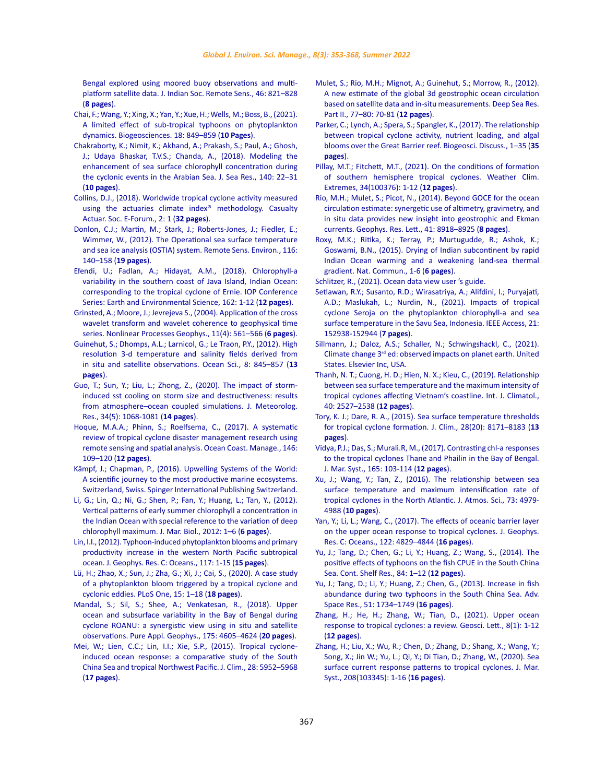[Bengal explored using moored buoy observations and multi](https://www.infona.pl/resource/bwmeta1.element.springer-doi-10_1007-S12524-017-0748-9)[platform satellite data. J. Indian Soc. Remote Sens., 46: 821–828](https://www.infona.pl/resource/bwmeta1.element.springer-doi-10_1007-S12524-017-0748-9)  (**[8 pages](https://www.infona.pl/resource/bwmeta1.element.springer-doi-10_1007-S12524-017-0748-9)**).

- [Chai, F.; Wang, Y.; Xing, X.; Yan, Y.; Xue, H.; Wells, M.; Boss, B., \(2021\).](https://bg.copernicus.org/articles/18/849/2021/)  [A limited effect of sub-tropical typhoons on phytoplankton](https://bg.copernicus.org/articles/18/849/2021/)  [dynamics. Biogeosciences. 18: 849–859 \(](https://bg.copernicus.org/articles/18/849/2021/)**10 Pages**).
- [Chakraborty, K.; Nimit, K.; Akhand, A.; Prakash, S.; Paul, A.; Ghosh,](https://www.sciencedirect.com/science/article/abs/pii/S1385110117302484)  [J.; Udaya Bhaskar, T.V.S.; Chanda, A., \(2018\). Modeling the](https://www.sciencedirect.com/science/article/abs/pii/S1385110117302484)  [enhancement of sea surface chlorophyll concentration during](https://www.sciencedirect.com/science/article/abs/pii/S1385110117302484)  [the cyclonic events in the Arabian Sea. J. Sea Res., 140: 22–31](https://www.sciencedirect.com/science/article/abs/pii/S1385110117302484)  (**[10 pages](https://www.sciencedirect.com/science/article/abs/pii/S1385110117302484)**).
- Collins, D.J., (2018). Worldwide tropical cyclone activity measured using the actuaries climate index® methodology. Casualty Actuar. Soc. E-Forum., 2: 1 (**32 pages**).
- [Donlon, C.J.; Martin, M.; Stark, J.; Roberts-Jones, J.; Fiedler, E.;](https://www.sciencedirect.com/science/article/abs/pii/S0034425711002197)  [Wimmer, W., \(2012\). The Operational sea surface temperature](https://www.sciencedirect.com/science/article/abs/pii/S0034425711002197)  [and sea ice analysis \(OSTIA\) system. Remote Sens. Environ., 116:](https://www.sciencedirect.com/science/article/abs/pii/S0034425711002197)  [140–158 \(](https://www.sciencedirect.com/science/article/abs/pii/S0034425711002197)**19 pages**).
- [Efendi, U.; Fadlan, A.; Hidayat, A.M., \(2018\). Chlorophyll-a](https://iopscience.iop.org/article/10.1088/1755-1315/162/1/012035)  [variability in the southern coast of Java Island, Indian Ocean:](https://iopscience.iop.org/article/10.1088/1755-1315/162/1/012035)  [corresponding to the tropical cyclone of Ernie. IOP Conference](https://iopscience.iop.org/article/10.1088/1755-1315/162/1/012035)  [Series: Earth and Environmental Science, 162: 1-12 \(](https://iopscience.iop.org/article/10.1088/1755-1315/162/1/012035)**12 pages**).
- [Grinsted, A.; Moore, J.; Jevrejeva S., \(2004\). Application of the cross](https://npg.copernicus.org/articles/11/561/2004/npg-11-561-2004.html)  [wavelet transform and wavelet coherence to geophysical time](https://npg.copernicus.org/articles/11/561/2004/npg-11-561-2004.html)  [series. Nonlinear Processes Geophys., 11\(4\): 561–566 \(](https://npg.copernicus.org/articles/11/561/2004/npg-11-561-2004.html)**6 pages**).
- [Guinehut, S.; Dhomps, A.L.; Larnicol, G.; Le Traon, P.Y., \(2012\). High](https://os.copernicus.org/articles/8/845/2012/os-8-845-2012.html)  [resolution 3-d temperature and salinity fields derived from](https://os.copernicus.org/articles/8/845/2012/os-8-845-2012.html)  [in situ and satellite observations. Ocean Sci., 8: 845–857](https://os.copernicus.org/articles/8/845/2012/os-8-845-2012.html) (**13 [pages](https://os.copernicus.org/articles/8/845/2012/os-8-845-2012.html)**).
- [Guo, T.; Sun, Y.; Liu, L.; Zhong, Z., \(2020\). The impact of storm](http://jmr.cmsjournal.net/article/doi/10.1007/s13351-020-0001-2)[induced sst cooling on storm size and destructiveness: results](http://jmr.cmsjournal.net/article/doi/10.1007/s13351-020-0001-2)  [from atmosphere–ocean coupled simulations. J. Meteorolog.](http://jmr.cmsjournal.net/article/doi/10.1007/s13351-020-0001-2)  [Res., 34\(5\): 1068-1081 \(](http://jmr.cmsjournal.net/article/doi/10.1007/s13351-020-0001-2)**14 pages**).
- [Hoque, M.A.A.; Phinn, S.; Roelfsema, C., \(2017\). A systematic](https://www.sciencedirect.com/science/article/abs/pii/S0964569117302806)  [review of tropical cyclone disaster management research using](https://www.sciencedirect.com/science/article/abs/pii/S0964569117302806)  [remote sensing and spatial analysis. Ocean Coast. Manage., 146:](https://www.sciencedirect.com/science/article/abs/pii/S0964569117302806)  [109–120 \(](https://www.sciencedirect.com/science/article/abs/pii/S0964569117302806)**12 pages**).
- [Kämpf, J.; Chapman, P., \(2016\). Upwelling Systems of the World:](https://researchnow.flinders.edu.au/en/publications/upwelling-systems-of-the-world-a-scientific-journey-to-the-most-p)  [A scientific journey to the most productive marine ecosystems.](https://researchnow.flinders.edu.au/en/publications/upwelling-systems-of-the-world-a-scientific-journey-to-the-most-p)  [Switzerland, Swiss. Spinger International Publishing Switzerland.](https://researchnow.flinders.edu.au/en/publications/upwelling-systems-of-the-world-a-scientific-journey-to-the-most-p)
- [Li, G.; Lin, Q.; Ni, G.; Shen, P.; Fan, Y.; Huang, L.; Tan, Y., \(2012\).](https://www.hindawi.com/journals/jmb/2012/801248/)  [Vertical patterns of early summer chlorophyll a concentration in](https://www.hindawi.com/journals/jmb/2012/801248/)  [the Indian Ocean with special reference to the variation of deep](https://www.hindawi.com/journals/jmb/2012/801248/)  [chlorophyll maximum. J. Mar. Biol., 2012: 1–6 \(](https://www.hindawi.com/journals/jmb/2012/801248/)**6 pages**).
- [Lin, I.I., \(2012\). Typhoon-induced phytoplankton blooms and primary](https://agupubs.onlinelibrary.wiley.com/doi/full/10.1029/2011JC007626)  [productivity increase in the western North Pacific subtropical](https://agupubs.onlinelibrary.wiley.com/doi/full/10.1029/2011JC007626)  [ocean. J. Geophys. Res. C: Oceans., 117: 1-15 \(](https://agupubs.onlinelibrary.wiley.com/doi/full/10.1029/2011JC007626)**15 pages**).
- [Lü, H.; Zhao, X.; Sun, J.; Zha, G.; Xi, J.; Cai, S., \(2020\). A case study](https://journals.plos.org/plosone/article?id=10.1371/journal.pone.0230394)  [of a phytoplankton bloom triggered by a tropical cyclone and](https://journals.plos.org/plosone/article?id=10.1371/journal.pone.0230394)  [cyclonic eddies. PLoS One, 15: 1–18 \(](https://journals.plos.org/plosone/article?id=10.1371/journal.pone.0230394)**18 pages**).
- [Mandal, S.; Sil, S.; Shee, A.; Venkatesan, R., \(2018\). Upper](https://link.springer.com/article/10.1007/s00024-018-1932-8)  [ocean and subsurface variability in the Bay of Bengal during](https://link.springer.com/article/10.1007/s00024-018-1932-8)  [cyclone ROANU: a synergistic view using in situ and satellite](https://link.springer.com/article/10.1007/s00024-018-1932-8)  [observations. Pure Appl. Geophys., 175: 4605–4624 \(](https://link.springer.com/article/10.1007/s00024-018-1932-8)**20 pages**).
- Mei, W.; Lien, C.C.; Lin, I.I.; Xie, S.P., (2015). Tropical cycloneinduced ocean response: a comparative study of the South China Sea and tropical Northwest Pacific. J. Clim., 28: 5952–5968 (**17 pages**).
- [Mulet, S.; Rio, M.H.; Mignot, A.; Guinehut, S.; Morrow, R., \(2012\).](https://www.sciencedirect.com/science/article/abs/pii/S0967064512000604) [A new estimate of the global 3d geostrophic ocean circulation](https://www.sciencedirect.com/science/article/abs/pii/S0967064512000604) [based on satellite data and in-situ measurements. Deep Sea Res.](https://www.sciencedirect.com/science/article/abs/pii/S0967064512000604) [Part II., 77–80: 70-81 \(](https://www.sciencedirect.com/science/article/abs/pii/S0967064512000604)**12 pages**).
- [Parker, C.; Lynch, A.; Spera, S.; Spangler, K., \(2017\). The relationship](https://bg.copernicus.org/preprints/bg-2017-23/) [between tropical cyclone activity, nutrient loading, and algal](https://bg.copernicus.org/preprints/bg-2017-23/) [blooms over the Great Barrier reef. Biogeosci. Discuss., 1–35 \(](https://bg.copernicus.org/preprints/bg-2017-23/)**35 [pages](https://bg.copernicus.org/preprints/bg-2017-23/)**).
- [Pillay, M.T.; Fitchett, M.T., \(2021\). On the conditions of formation](https://www.sciencedirect.com/science/article/pii/S2212094721000669) [of southern hemisphere tropical cyclones. Weather Clim.](https://www.sciencedirect.com/science/article/pii/S2212094721000669) [Extremes, 34\(100376\): 1-12 \(](https://www.sciencedirect.com/science/article/pii/S2212094721000669)**12 pages**).
- Rio, M.H.; Mulet, S.; Picot, N., (2014). Beyond GOCE for the ocean circulation estimate: synergetic use of altimetry, gravimetry, and in situ data provides new insight into geostrophic and Ekman currents. Geophys. Res. Lett., 41: 8918–8925 (**8 pages**).
- [Roxy, M.K.; Ritika, K.; Terray, P.; Murtugudde, R.; Ashok, K.;](https://www.nature.com/articles/ncomms8423) [Goswami, B.N., \(2015\). Drying of Indian subcontinent by rapid](https://www.nature.com/articles/ncomms8423) [Indian Ocean warming and a weakening land-sea thermal](https://www.nature.com/articles/ncomms8423) [gradient. Nat. Commun., 1-6 \(](https://www.nature.com/articles/ncomms8423)**6 pages**).
- [Schlitzer, R., \(2021\). Ocean data view user 's guide.](https://odv.awi.de/documentation/)
- [Setiawan, R.Y.; Susanto, R.D.; Wirasatriya, A.; Alifdini, I.; Puryajati,](https://ieeexplore.ieee.org/document/9600811) [A.D.; Maslukah, L.; Nurdin, N., \(2021\). Impacts of tropical](https://ieeexplore.ieee.org/document/9600811) [cyclone Seroja on the phytoplankton chlorophyll-a and sea](https://ieeexplore.ieee.org/document/9600811) [surface temperature in the Savu Sea, Indonesia. IEEE Access, 21:](https://ieeexplore.ieee.org/document/9600811) [152938-152944 \(](https://ieeexplore.ieee.org/document/9600811)**7 pages**).
- [Sillmann, J.; Daloz, A.S.; Schaller, N.; Schwingshackl, C., \(2021\).](https://www.sciencedirect.com/science/article/pii/B9780128215753000165) Climate change 3rd [ed: observed impacts on planet earth. United](https://www.sciencedirect.com/science/article/pii/B9780128215753000165) [States. Elsevier Inc, USA.](https://www.sciencedirect.com/science/article/pii/B9780128215753000165)
- [Thanh, N. T.; Cuong, H. D.; Hien, N. X.; Kieu, C., \(2019\). Relationship](https://rmets.onlinelibrary.wiley.com/doi/abs/10.1002/joc.6348) [between sea surface temperature and the maximum intensity of](https://rmets.onlinelibrary.wiley.com/doi/abs/10.1002/joc.6348) [tropical cyclones affecting Vietnam's coastline. Int. J. Climatol.,](https://rmets.onlinelibrary.wiley.com/doi/abs/10.1002/joc.6348) [40: 2527–2538 \(](https://rmets.onlinelibrary.wiley.com/doi/abs/10.1002/joc.6348)**12 pages**).
- [Tory, K. J.; Dare, R. A., \(2015\). Sea surface temperature thresholds](https://journals.ametsoc.org/view/journals/clim/28/20/jcli-d-14-00637.1.xml) [for tropical cyclone formation. J. Clim., 28\(20\): 8171–8183 \(](https://journals.ametsoc.org/view/journals/clim/28/20/jcli-d-14-00637.1.xml)**13 [pages](https://journals.ametsoc.org/view/journals/clim/28/20/jcli-d-14-00637.1.xml)**).
- [Vidya, P.J.; Das, S.; Murali.R, M., \(2017\). Contrasting chl-a responses](https://www.sciencedirect.com/science/article/abs/pii/S0924796316300641?via%3Dihub) [to the tropical cyclones Thane and Phailin in the Bay of Bengal.](https://www.sciencedirect.com/science/article/abs/pii/S0924796316300641?via%3Dihub) [J. Mar. Syst., 165: 103-114 \(](https://www.sciencedirect.com/science/article/abs/pii/S0924796316300641?via%3Dihub)**12 pages**).
- [Xu, J.; Wang, Y.; Tan, Z., \(2016\). The relationship between sea](https://journals.ametsoc.org/view/journals/atsc/73/12/jas-d-16-0164.1.xml) [surface temperature and maximum intensification rate of](https://journals.ametsoc.org/view/journals/atsc/73/12/jas-d-16-0164.1.xml) [tropical cyclones in the North Atlantic. J. Atmos. Sci., 73: 4979-](https://journals.ametsoc.org/view/journals/atsc/73/12/jas-d-16-0164.1.xml) 4988 (**[10 pages](https://journals.ametsoc.org/view/journals/atsc/73/12/jas-d-16-0164.1.xml)**).
- [Yan, Y.; Li, L.; Wang, C., \(2017\). The effects of oceanic barrier layer](https://agupubs.onlinelibrary.wiley.com/doi/full/10.1002/2017JC012694) [on the upper ocean response to tropical cyclones. J. Geophys.](https://agupubs.onlinelibrary.wiley.com/doi/full/10.1002/2017JC012694) [Res. C: Oceans., 122: 4829–4844 \(](https://agupubs.onlinelibrary.wiley.com/doi/full/10.1002/2017JC012694)**16 pages**).
- [Yu, J.; Tang, D.; Chen, G.; Li, Y.; Huang, Z.; Wang, S., \(2014\). The](https://www.sciencedirect.com/science/article/abs/pii/S0278434314001502?via%3Dihub) [positive effects of typhoons on the fish CPUE in the South China](https://www.sciencedirect.com/science/article/abs/pii/S0278434314001502?via%3Dihub) [Sea. Cont. Shelf Res., 84: 1–12 \(](https://www.sciencedirect.com/science/article/abs/pii/S0278434314001502?via%3Dihub)**12 pages**).
- [Yu, J.; Tang, D.; Li, Y.; Huang, Z.; Chen, G., \(2013\). Increase in fish](https://www.sciencedirect.com/science/article/abs/pii/S0273117712007028?via%3Dihub) [abundance during two typhoons in the South China Sea. Adv.](https://www.sciencedirect.com/science/article/abs/pii/S0273117712007028?via%3Dihub) [Space Res., 51: 1734–1749](https://www.sciencedirect.com/science/article/abs/pii/S0273117712007028?via%3Dihub) (**16 pages**).
- [Zhang, H.; He, H.; Zhang, W.; Tian, D., \(2021\). Upper ocean](https://geoscienceletters.springeropen.com/articles/10.1186/s40562-020-00170-8) [response to tropical cyclones: a review. Geosci. Lett., 8\(1\): 1-12](https://geoscienceletters.springeropen.com/articles/10.1186/s40562-020-00170-8) (**[12 pages](https://geoscienceletters.springeropen.com/articles/10.1186/s40562-020-00170-8)**).
- [Zhang, H.; Liu, X.; Wu, R.; Chen, D.; Zhang, D.; Shang, X.; Wang, Y.;](https://www.sciencedirect.com/science/article/pii/S0924796320300415?via%3Dihub) [Song, X.; Jin W.; Yu, L.; Qi, Y.; Di Tian, D.; Zhang, W., \(2020\). Sea](https://www.sciencedirect.com/science/article/pii/S0924796320300415?via%3Dihub) [surface current response patterns to tropical cyclones. J. Mar.](https://www.sciencedirect.com/science/article/pii/S0924796320300415?via%3Dihub) [Syst., 208\(103345\): 1-16 \(](https://www.sciencedirect.com/science/article/pii/S0924796320300415?via%3Dihub)**16 pages**).